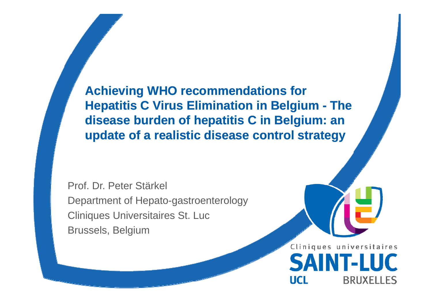**Achieving WHO recommendations for Hepatitis C Virus Elimination in Belgium - The disease burden of hepatitis C in Belgium: an update of a realistic disease control strategy**

Prof. Dr. Peter Stärkel Department of Hepato-gastroenterology Cliniques Universitaires St. Luc Brussels, Belgium

> Cliniques universitaires **SAINT-LUC UCL BRUXELLES**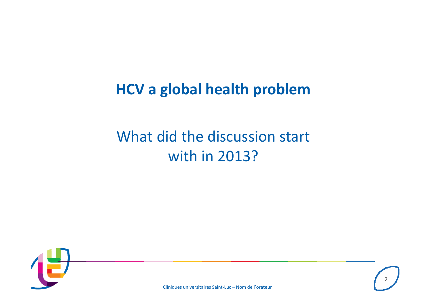## **HCV <sup>a</sup> global health problem**

## What did the discussion start with in 2013?



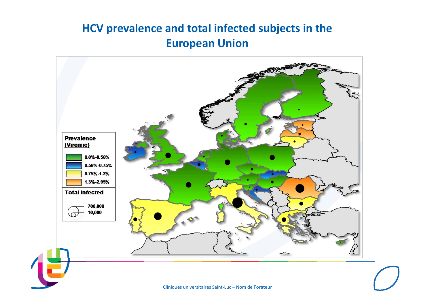### **HCV prevalence and total infected subjects in the European Union**

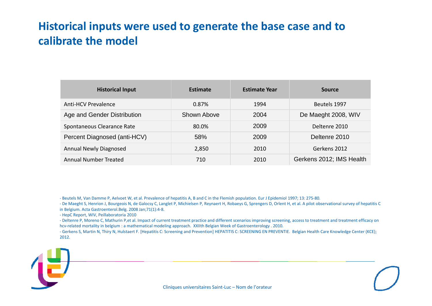#### **Historical inputs were used to generate the base case and to calibrate the model**

| <b>Historical Input</b>       | <b>Estimate</b> | <b>Estimate Year</b> | <b>Source</b>            |
|-------------------------------|-----------------|----------------------|--------------------------|
| Anti-HCV Prevalence           | 0.87%           | 1994                 | Beutels 1997             |
| Age and Gender Distribution   | Shown Above     | 2004                 | De Maeght 2008, WIV      |
| Spontaneous Clearance Rate    | 80.0%           | 2009                 | Deltenre 2010            |
| Percent Diagnosed (anti-HCV)  | 58%             | 2009                 | Deltenre 2010            |
| <b>Annual Newly Diagnosed</b> | 2,850           | 2010                 | Gerkens 2012             |
| Annual Number Treated         | 710             | 2010                 | Gerkens 2012; IMS Health |

‐ Beutels M, Van Damme P, Aelvoet W, et al. Prevalence of hepatitis A, B and C in the Flemish population. Eur J Epidemiol 1997; 13: 275‐80.

‐ De Maeght S, Henrion J, Bourgeois N, de Galocsy C, Langlet P, Michielsen P, Reynaert H, Robaeys G, Sprengers D, Orlent H, et al. A pilot observational survey of hepatitis C in Belgium. Acta Gastroenterol.Belg. 2008 Jan;71(1):4‐8.

‐ HepC Report, WIV, Peillaboratoria 2010

‐ Deltenre P, Moreno C, Mathurin P,et al. Impact of current treatment practice and different scenarios improving screening, access to treatment and treatment efficacy on hcv‐related mortality in belgium : <sup>a</sup> mathematical modeling approach. XXIIth Belgian Week of Gastroenterology . 2010.

‐ Gerkens S, Martin N, Thiry N, Hulstaert F. [Hepatitis C: Screening and Prevention] HEPATITIS C: SCREENING EN PREVENTIE. Belgian Health Care Knowledge Center (KCE); 2012.

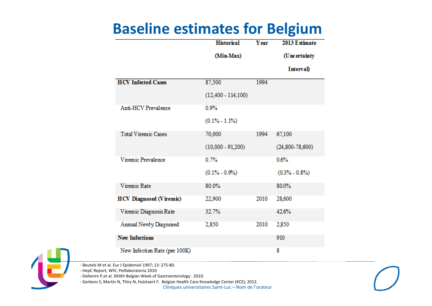## **Baseline estimates for Belgium**

|                                | <b>Historical</b>    | <b>Y</b> ear | 2013 Estimate     |  |
|--------------------------------|----------------------|--------------|-------------------|--|
|                                | (Min-Max)            |              | (Uncertainty      |  |
|                                |                      |              | Interval)         |  |
| <b>HCV</b> Infected Cases      | 87,500               | 1994         |                   |  |
|                                | $(12,400 - 114,100)$ |              |                   |  |
| Anti-HCV Prevalence            | 0.9%                 |              |                   |  |
|                                | $(0.1\% - 1.1\%)$    |              |                   |  |
| <b>Total Viremic Cases</b>     | 70,000               | 1994         | 67,100            |  |
|                                | $(10,000 - 91,200)$  |              | $(24,800-78,600)$ |  |
| Viremic Prevalence             | 0.7%                 |              | 0.6%              |  |
|                                | $(0.1\% - 0.9\%)$    |              | $(0.3\% - 0.8\%)$ |  |
| Viremic Rate                   | 80.0%                |              | 80.0%             |  |
| <b>HCV Diagnosed (Viremic)</b> | 22,900               | 2010         | 28,600            |  |
| Viremic Diagnosis Rate         | 32.7%                |              | 42.6%             |  |
| Annual Newly Diagnosed         | 2,850                | 2010         | 2,850             |  |
| <b>New Infections</b>          |                      |              | 910               |  |
| New Infection Rate (per 100K)  |                      |              | 8                 |  |

‐ Beutels M et al. Eur J Epidemiol 1997; 13: 275‐80.

‐ HepC Report, WIV, Peillaboratoria 2010

‐ Deltenre P,et al. XXIIth Belgian Week of Gastroenterology . 2010.

Cliniques universitaires Saint‐Luc – Nom de l'orateur ‐ Gerkens S, Martin N, Thiry N, Hulstaert F. Belgian Health Care Knowledge Center (KCE); 2012.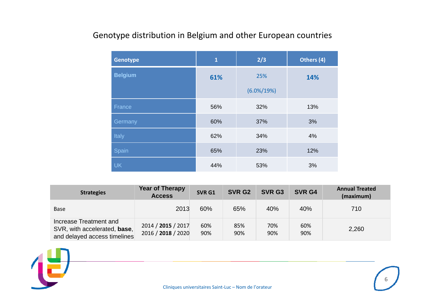#### Genotype distribution in Belgium and other European countries

| <b>Genotype</b> | $\mathbf{1}$ | 2/3            | Others (4) |
|-----------------|--------------|----------------|------------|
| <b>Belgium</b>  | 61%          | 25%            | 14%        |
|                 |              | $(6.0\%/19\%)$ |            |
| France          | 56%          | 32%            | 13%        |
| Germany         | 60%          | 37%            | 3%         |
| Italy           | 62%          | 34%            | 4%         |
| Spain           | 65%          | 23%            | 12%        |
| <b>UK</b>       | 44%          | 53%            | 3%         |

| <b>Strategies</b>                                                                      | <b>Year of Therapy</b><br><b>Access</b>  | SVR G1     | SVR G <sub>2</sub> | SVR G3     | SVR G4     | <b>Annual Treated</b><br>(maximum) |
|----------------------------------------------------------------------------------------|------------------------------------------|------------|--------------------|------------|------------|------------------------------------|
| <b>Base</b>                                                                            | 2013                                     | 60%        | 65%                | 40%        | 40%        | 710                                |
| Increase Treatment and<br>SVR, with accelerated, base,<br>and delayed access timelines | 2014 / 2015 / 2017<br>2016 / 2018 / 2020 | 60%<br>90% | 85%<br>90%         | 70%<br>90% | 60%<br>90% | 2,260                              |

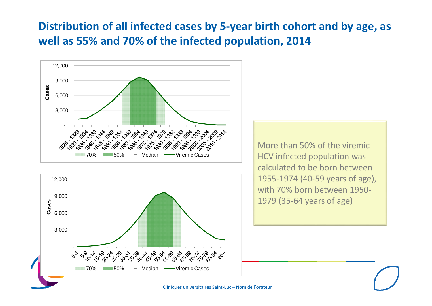### **Distribution of all infected cases by 5‐year birth cohort and by age, as well as 55% and 70% of the infected population, 2014**





More than 50% of the viremic HCV infected population was calculated to be born between 1955‐1974 (40‐59 years of age), with 70% born between 1950‐ 1979 (35‐64 years of age)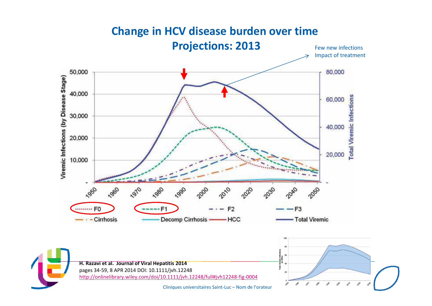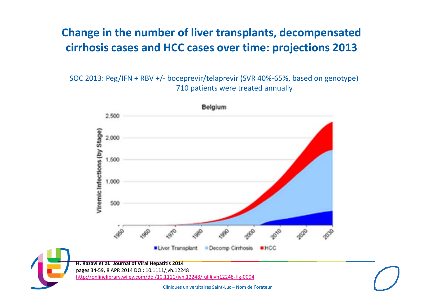#### **Change in the number of liver transplants, decompensated cirrhosis cases and HCC cases over time: projections 2013**

SOC 2013: Peg/IFN <sup>+</sup> RBV +/‐ boceprevir/telaprevir (SVR 40%‐65%, based on genotype) 710 patients were treated annually

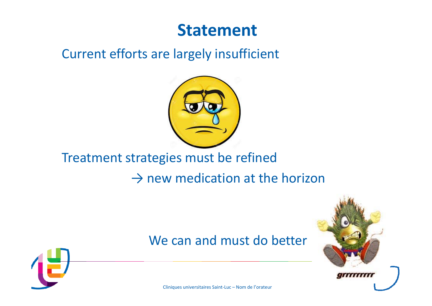## **Statement**

### Current efforts are largely insufficient



### Treatment strategies must be refined

 $\rightarrow$  new medication at the horizon

### We can and must do better



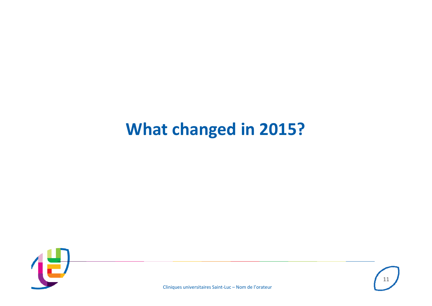## **What changed in 2015?**



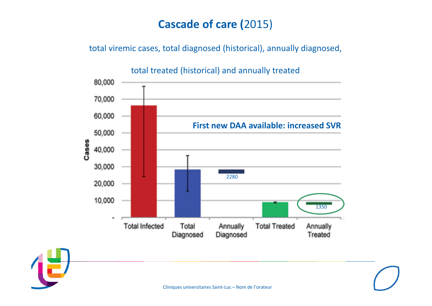### **Cascade of care (**2015)

total viremic cases, total diagnosed (historical), annually diagnosed,



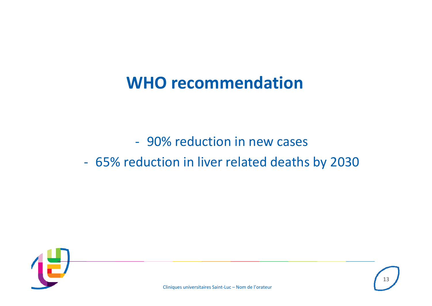## **WHO recommendation**

‐ 90% reduction in new cases

### ‐ 65% reduction in liver related deaths by 2030

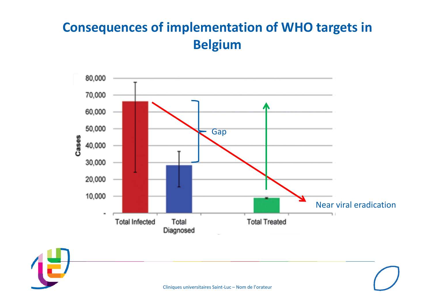### **Consequences of implementation of WHO targets in Belgium**



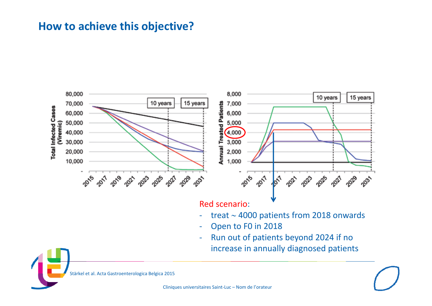#### **How to achieve this objective?**



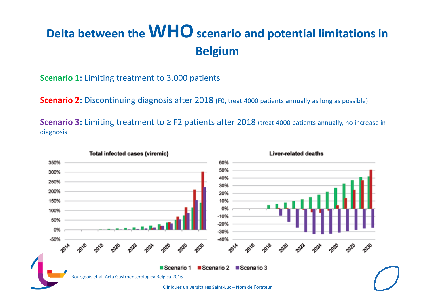## **Delta between theWHOscenario and potential limitations in Belgium**

**Scenario 1:** Limiting treatment to 3.000 patients

**Scenario 2:** Discontinuing diagnosis after 2018 (F0, treat <sup>4000</sup> patients annually as long as possible)

**Scenario 3:** Limiting treatment to ≥ F2 patients after 2018 (treat <sup>4000</sup> patients annually, no increase in diagnosis

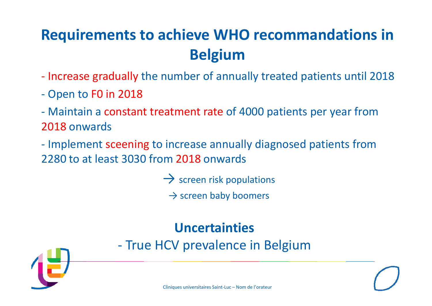## **Requirements to achieve WHO recommandations in Belgium**

- Increase gradually the number of annually treated patients until 2018
- Open to F0 in 2018
- ‐ Maintain a constant treatment rate of 4000 patients per year from 2018 onwards
- Implement sceening to increase annually diagnosed patients from 2280 to at least 3030 from 2018 onwards
	- $\rightarrow$  screen risk populations
		- $\rightarrow$  screen baby boomers

### **Uncertainties**

‐ True HCV prevalence in Belgium